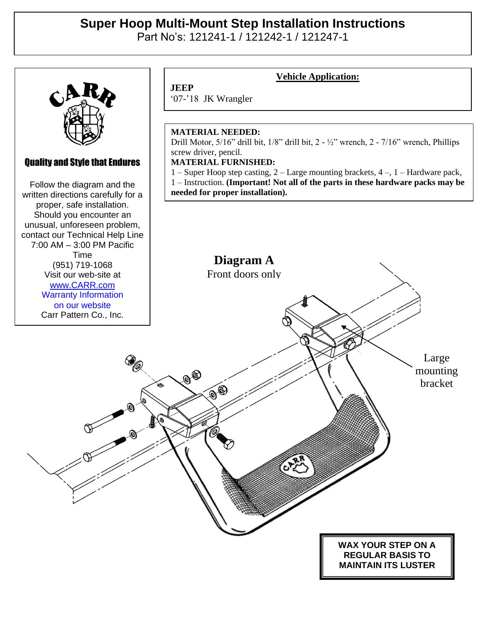# **Super Hoop Multi-Mount Step Installation Instructions**

Part No's: 121241-1 / 121242-1 / 121247-1



### Quality and Style that Endures

Quality and Style that Endures Follow the diagram and the Follow the diagram and the written directions carefully for a written directions carefully for a proper, safe installation. proper, safe installation. Should you encounter an Should you encounter an unusual, unforeseen problem, unusual, unforeseen problem, contact our Technical Help Line contact our Technical Help Line 7:00 AM – 3:00 PM Pacific (951) 719-1068 Time Visit our web-site at (951) 719-1068 ww.carr.com<br>. . . . Visit our web-site at [www.CARR.com](http://www.carr.com/) Warranty Information on our website Carr Pattern Co., Inc.

## **JEEP**

## **Vehicle Application:**

'07-'18 JK Wrangler

#### **MATERIAL NEEDED:**

Drill Motor, 5/16" drill bit, 1/8" drill bit, 2 - ½" wrench, 2 - 7/16" wrench, Phillips screw driver, pencil.

#### **MATERIAL FURNISHED:**

1 – Super Hoop step casting, 2 – Large mounting brackets, 4 –, 1 – Hardware pack, 1 – Instruction. **(Important! Not all of the parts in these hardware packs may be needed for proper installation).**